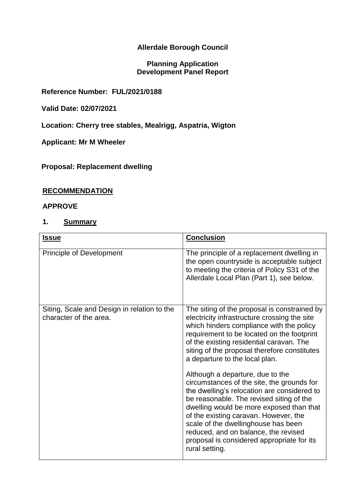### **Allerdale Borough Council**

### **Planning Application Development Panel Report**

**Reference Number: FUL/2021/0188**

**Valid Date: 02/07/2021**

**Location: Cherry tree stables, Mealrigg, Aspatria, Wigton**

**Applicant: Mr M Wheeler**

**Proposal: Replacement dwelling**

### **RECOMMENDATION**

#### **APPROVE**

### **1. Summary**

| <b>Issue</b>                                                          | <b>Conclusion</b>                                                                                                                                                                                                                                                                                                                                                                                             |
|-----------------------------------------------------------------------|---------------------------------------------------------------------------------------------------------------------------------------------------------------------------------------------------------------------------------------------------------------------------------------------------------------------------------------------------------------------------------------------------------------|
| <b>Principle of Development</b>                                       | The principle of a replacement dwelling in<br>the open countryside is acceptable subject<br>to meeting the criteria of Policy S31 of the<br>Allerdale Local Plan (Part 1), see below.                                                                                                                                                                                                                         |
| Siting, Scale and Design in relation to the<br>character of the area. | The siting of the proposal is constrained by<br>electricity infrastructure crossing the site<br>which hinders compliance with the policy<br>requirement to be located on the footprint<br>of the existing residential caravan. The<br>siting of the proposal therefore constitutes<br>a departure to the local plan.                                                                                          |
|                                                                       | Although a departure, due to the<br>circumstances of the site, the grounds for<br>the dwelling's relocation are considered to<br>be reasonable. The revised siting of the<br>dwelling would be more exposed than that<br>of the existing caravan. However, the<br>scale of the dwellinghouse has been<br>reduced, and on balance, the revised<br>proposal is considered appropriate for its<br>rural setting. |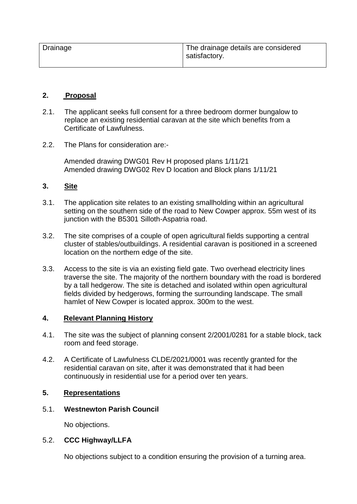| Drainage | The drainage details are considered<br>satisfactory. |
|----------|------------------------------------------------------|
|          |                                                      |

#### **2. Proposal**

- 2.1. The applicant seeks full consent for a three bedroom dormer bungalow to replace an existing residential caravan at the site which benefits from a Certificate of Lawfulness.
- 2.2. The Plans for consideration are:-

Amended drawing DWG01 Rev H proposed plans 1/11/21 Amended drawing DWG02 Rev D location and Block plans 1/11/21

#### **3. Site**

- 3.1. The application site relates to an existing smallholding within an agricultural setting on the southern side of the road to New Cowper approx. 55m west of its junction with the B5301 Silloth-Aspatria road.
- 3.2. The site comprises of a couple of open agricultural fields supporting a central cluster of stables/outbuildings. A residential caravan is positioned in a screened location on the northern edge of the site.
- 3.3. Access to the site is via an existing field gate. Two overhead electricity lines traverse the site. The majority of the northern boundary with the road is bordered by a tall hedgerow. The site is detached and isolated within open agricultural fields divided by hedgerows, forming the surrounding landscape. The small hamlet of New Cowper is located approx. 300m to the west.

### **4. Relevant Planning History**

- 4.1. The site was the subject of planning consent 2/2001/0281 for a stable block, tack room and feed storage.
- 4.2. A Certificate of Lawfulness CLDE/2021/0001 was recently granted for the residential caravan on site, after it was demonstrated that it had been continuously in residential use for a period over ten years.

### **5. Representations**

### 5.1. **Westnewton Parish Council**

No objections.

#### 5.2. **CCC Highway/LLFA**

No objections subject to a condition ensuring the provision of a turning area.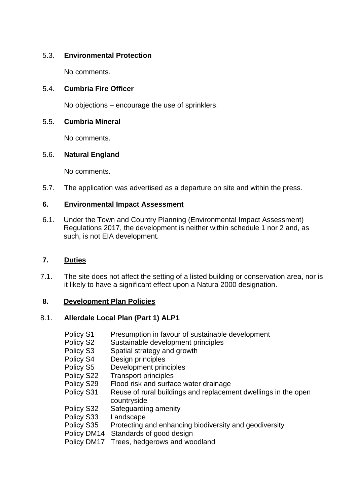### 5.3. **Environmental Protection**

No comments.

## 5.4. **Cumbria Fire Officer**

No objections – encourage the use of sprinklers.

## 5.5. **Cumbria Mineral**

No comments.

## 5.6. **Natural England**

No comments.

5.7. The application was advertised as a departure on site and within the press.

## **6. Environmental Impact Assessment**

6.1. Under the Town and Country Planning (Environmental Impact Assessment) Regulations 2017, the development is neither within schedule 1 nor 2 and, as such, is not EIA development.

## **7. Duties**

7.1. The site does not affect the setting of a listed building or conservation area, nor is it likely to have a significant effect upon a Natura 2000 designation.

## **8. Development Plan Policies**

### 8.1. **Allerdale Local Plan (Part 1) ALP1**

| Policy S1             | Presumption in favour of sustainable development                              |
|-----------------------|-------------------------------------------------------------------------------|
| Policy S <sub>2</sub> | Sustainable development principles                                            |
| Policy S3             | Spatial strategy and growth                                                   |
| Policy S4             | Design principles                                                             |
| Policy S5             | Development principles                                                        |
| Policy S22            | <b>Transport principles</b>                                                   |
| Policy S29            | Flood risk and surface water drainage                                         |
| Policy S31            | Reuse of rural buildings and replacement dwellings in the open<br>countryside |
| Policy S32            | Safeguarding amenity                                                          |
| Policy S33            | Landscape                                                                     |
| Policy S35            | Protecting and enhancing biodiversity and geodiversity                        |
| Policy DM14           | Standards of good design                                                      |
| Policy DM17           | Trees, hedgerows and woodland                                                 |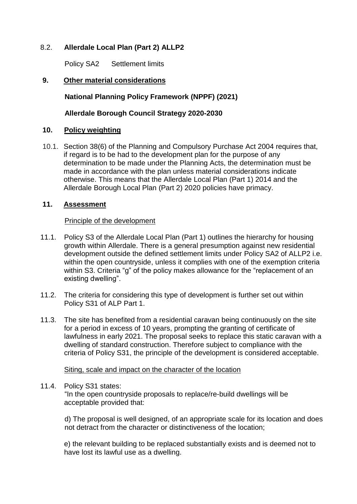## 8.2. **Allerdale Local Plan (Part 2) ALLP2**

Policy SA2 Settlement limits

### **9. Other material considerations**

 **National Planning Policy Framework (NPPF) (2021)**

 **Allerdale Borough Council Strategy 2020-2030**

### **10. Policy weighting**

10.1. Section 38(6) of the Planning and Compulsory Purchase Act 2004 requires that, if regard is to be had to the development plan for the purpose of any determination to be made under the Planning Acts, the determination must be made in accordance with the plan unless material considerations indicate otherwise. This means that the Allerdale Local Plan (Part 1) 2014 and the Allerdale Borough Local Plan (Part 2) 2020 policies have primacy.

#### **11. Assessment**

#### Principle of the development

- 11.1. Policy S3 of the Allerdale Local Plan (Part 1) outlines the hierarchy for housing growth within Allerdale. There is a general presumption against new residential development outside the defined settlement limits under Policy SA2 of ALLP2 i.e. within the open countryside, unless it complies with one of the exemption criteria within S3. Criteria "g" of the policy makes allowance for the "replacement of an existing dwelling".
- 11.2. The criteria for considering this type of development is further set out within Policy S31 of ALP Part 1.
- 11.3. The site has benefited from a residential caravan being continuously on the site for a period in excess of 10 years, prompting the granting of certificate of lawfulness in early 2021. The proposal seeks to replace this static caravan with a dwelling of standard construction. Therefore subject to compliance with the criteria of Policy S31, the principle of the development is considered acceptable.

Siting, scale and impact on the character of the location

11.4. Policy S31 states:

"In the open countryside proposals to replace/re-build dwellings will be acceptable provided that:

 d) The proposal is well designed, of an appropriate scale for its location and does not detract from the character or distinctiveness of the location;

e) the relevant building to be replaced substantially exists and is deemed not to have lost its lawful use as a dwelling.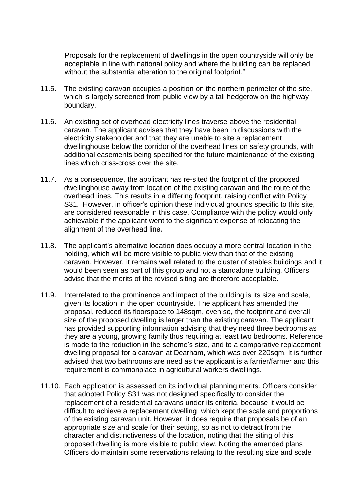Proposals for the replacement of dwellings in the open countryside will only be acceptable in line with national policy and where the building can be replaced without the substantial alteration to the original footprint."

- 11.5. The existing caravan occupies a position on the northern perimeter of the site, which is largely screened from public view by a tall hedgerow on the highway boundary.
- 11.6. An existing set of overhead electricity lines traverse above the residential caravan. The applicant advises that they have been in discussions with the electricity stakeholder and that they are unable to site a replacement dwellinghouse below the corridor of the overhead lines on safety grounds, with additional easements being specified for the future maintenance of the existing lines which criss-cross over the site.
- 11.7. As a consequence, the applicant has re-sited the footprint of the proposed dwellinghouse away from location of the existing caravan and the route of the overhead lines. This results in a differing footprint, raising conflict with Policy S31. However, in officer's opinion these individual grounds specific to this site, are considered reasonable in this case. Compliance with the policy would only achievable if the applicant went to the significant expense of relocating the alignment of the overhead line.
- 11.8. The applicant's alternative location does occupy a more central location in the holding, which will be more visible to public view than that of the existing caravan. However, it remains well related to the cluster of stables buildings and it would been seen as part of this group and not a standalone building. Officers advise that the merits of the revised siting are therefore acceptable.
- 11.9. Interrelated to the prominence and impact of the building is its size and scale, given its location in the open countryside. The applicant has amended the proposal, reduced its floorspace to 148sqm, even so, the footprint and overall size of the proposed dwelling is larger than the existing caravan. The applicant has provided supporting information advising that they need three bedrooms as they are a young, growing family thus requiring at least two bedrooms. Reference is made to the reduction in the scheme's size, and to a comparative replacement dwelling proposal for a caravan at Dearham, which was over 220sqm. It is further advised that two bathrooms are need as the applicant is a farrier/farmer and this requirement is commonplace in agricultural workers dwellings.
- 11.10. Each application is assessed on its individual planning merits. Officers consider that adopted Policy S31 was not designed specifically to consider the replacement of a residential caravans under its criteria, because it would be difficult to achieve a replacement dwelling, which kept the scale and proportions of the existing caravan unit. However, it does require that proposals be of an appropriate size and scale for their setting, so as not to detract from the character and distinctiveness of the location, noting that the siting of this proposed dwelling is more visible to public view. Noting the amended plans Officers do maintain some reservations relating to the resulting size and scale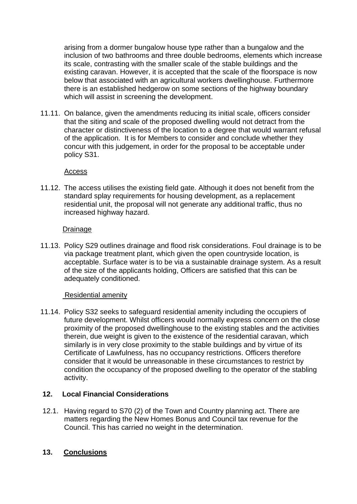arising from a dormer bungalow house type rather than a bungalow and the inclusion of two bathrooms and three double bedrooms, elements which increase its scale, contrasting with the smaller scale of the stable buildings and the existing caravan. However, it is accepted that the scale of the floorspace is now below that associated with an agricultural workers dwellinghouse. Furthermore there is an established hedgerow on some sections of the highway boundary which will assist in screening the development.

11.11. On balance, given the amendments reducing its initial scale, officers consider that the siting and scale of the proposed dwelling would not detract from the character or distinctiveness of the location to a degree that would warrant refusal of the application. It is for Members to consider and conclude whether they concur with this judgement, in order for the proposal to be acceptable under policy S31.

## Access

11.12. The access utilises the existing field gate. Although it does not benefit from the standard splay requirements for housing development, as a replacement residential unit, the proposal will not generate any additional traffic, thus no increased highway hazard.

#### Drainage

11.13. Policy S29 outlines drainage and flood risk considerations. Foul drainage is to be via package treatment plant, which given the open countryside location, is acceptable. Surface water is to be via a sustainable drainage system. As a result of the size of the applicants holding, Officers are satisfied that this can be adequately conditioned.

#### Residential amenity

11.14. Policy S32 seeks to safeguard residential amenity including the occupiers of future development. Whilst officers would normally express concern on the close proximity of the proposed dwellinghouse to the existing stables and the activities therein, due weight is given to the existence of the residential caravan, which similarly is in very close proximity to the stable buildings and by virtue of its Certificate of Lawfulness, has no occupancy restrictions. Officers therefore consider that it would be unreasonable in these circumstances to restrict by condition the occupancy of the proposed dwelling to the operator of the stabling activity.

## **12. Local Financial Considerations**

12.1. Having regard to S70 (2) of the Town and Country planning act. There are matters regarding the New Homes Bonus and Council tax revenue for the Council. This has carried no weight in the determination.

## **13. Conclusions**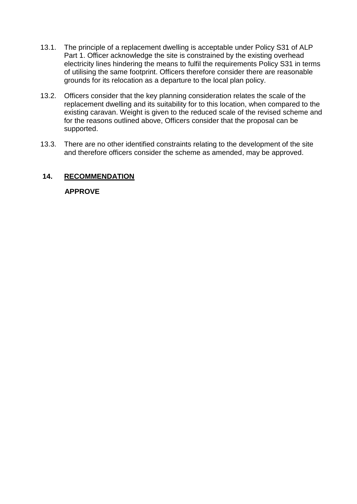- 13.1. The principle of a replacement dwelling is acceptable under Policy S31 of ALP Part 1. Officer acknowledge the site is constrained by the existing overhead electricity lines hindering the means to fulfil the requirements Policy S31 in terms of utilising the same footprint. Officers therefore consider there are reasonable grounds for its relocation as a departure to the local plan policy.
- 13.2. Officers consider that the key planning consideration relates the scale of the replacement dwelling and its suitability for to this location, when compared to the existing caravan. Weight is given to the reduced scale of the revised scheme and for the reasons outlined above, Officers consider that the proposal can be supported.
- 13.3. There are no other identified constraints relating to the development of the site and therefore officers consider the scheme as amended, may be approved.

# **14. RECOMMENDATION**

 **APPROVE**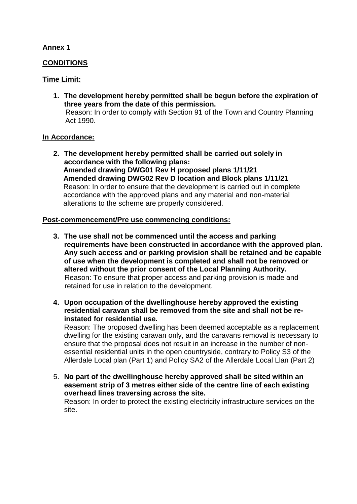### **Annex 1**

### **CONDITIONS**

### **Time Limit:**

**1. The development hereby permitted shall be begun before the expiration of three years from the date of this permission.** Reason: In order to comply with Section 91 of the Town and Country Planning Act 1990.

#### **In Accordance:**

**2. The development hereby permitted shall be carried out solely in accordance with the following plans: Amended drawing DWG01 Rev H proposed plans 1/11/21 Amended drawing DWG02 Rev D location and Block plans 1/11/21**  Reason: In order to ensure that the development is carried out in complete accordance with the approved plans and any material and non-material alterations to the scheme are properly considered.

### **Post-commencement/Pre use commencing conditions:**

- **3. The use shall not be commenced until the access and parking requirements have been constructed in accordance with the approved plan. Any such access and or parking provision shall be retained and be capable of use when the development is completed and shall not be removed or altered without the prior consent of the Local Planning Authority.** Reason: To ensure that proper access and parking provision is made and retained for use in relation to the development.
- **4. Upon occupation of the dwellinghouse hereby approved the existing residential caravan shall be removed from the site and shall not be reinstated for residential use.**

Reason: The proposed dwelling has been deemed acceptable as a replacement dwelling for the existing caravan only, and the caravans removal is necessary to ensure that the proposal does not result in an increase in the number of nonessential residential units in the open countryside, contrary to Policy S3 of the Allerdale Local plan (Part 1) and Policy SA2 of the Allerdale Local Llan (Part 2)

5. **No part of the dwellinghouse hereby approved shall be sited within an easement strip of 3 metres either side of the centre line of each existing overhead lines traversing across the site.** 

Reason: In order to protect the existing electricity infrastructure services on the site.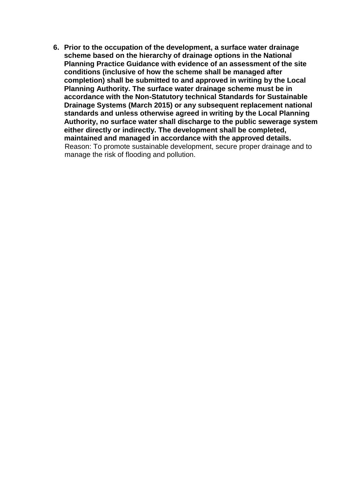**6. Prior to the occupation of the development, a surface water drainage scheme based on the hierarchy of drainage options in the National Planning Practice Guidance with evidence of an assessment of the site conditions (inclusive of how the scheme shall be managed after completion) shall be submitted to and approved in writing by the Local Planning Authority. The surface water drainage scheme must be in accordance with the Non-Statutory technical Standards for Sustainable Drainage Systems (March 2015) or any subsequent replacement national standards and unless otherwise agreed in writing by the Local Planning Authority, no surface water shall discharge to the public sewerage system either directly or indirectly. The development shall be completed, maintained and managed in accordance with the approved details.** Reason: To promote sustainable development, secure proper drainage and to manage the risk of flooding and pollution.